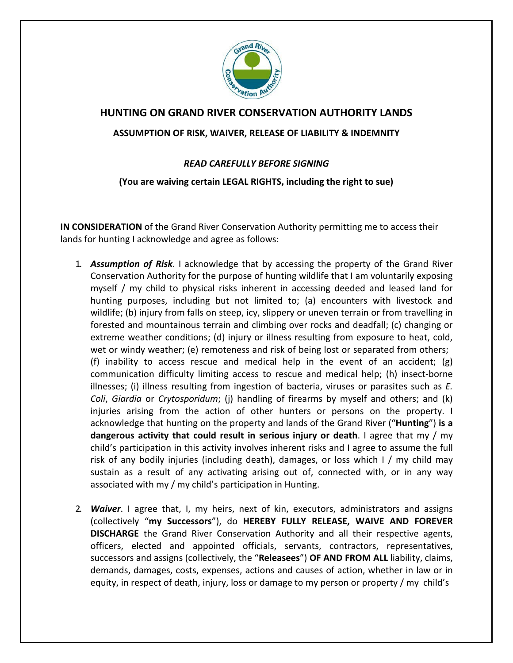

## **HUNTING ON GRAND RIVER CONSERVATION AUTHORITY LANDS**

## **ASSUMPTION OF RISK, WAIVER, RELEASE OF LIABILITY & INDEMNITY**

## *READ CAREFULLY BEFORE SIGNING*

## **(You are waiving certain LEGAL RIGHTS, including the right to sue)**

**IN CONSIDERATION** of the Grand River Conservation Authority permitting me to access their lands for hunting I acknowledge and agree as follows:

- 1. *Assumption of Risk*. I acknowledge that by accessing the property of the Grand River Conservation Authority for the purpose of hunting wildlife that I am voluntarily exposing myself / my child to physical risks inherent in accessing deeded and leased land for hunting purposes, including but not limited to; (a) encounters with livestock and wildlife; (b) injury from falls on steep, icy, slippery or uneven terrain or from travelling in forested and mountainous terrain and climbing over rocks and deadfall; (c) changing or extreme weather conditions; (d) injury or illness resulting from exposure to heat, cold, wet or windy weather; (e) remoteness and risk of being lost or separated from others; (f) inability to access rescue and medical help in the event of an accident;  $(g)$ communication difficulty limiting access to rescue and medical help; (h) insect-borne illnesses; (i) illness resulting from ingestion of bacteria, viruses or parasites such as *E. Coli*, *Giardia* or *Crytosporidum*; (j) handling of firearms by myself and others; and (k) injuries arising from the action of other hunters or persons on the property. I acknowledge that hunting on the property and lands of the Grand River ("**Hunting**") **is a dangerous activity that could result in serious injury or death**. I agree that my / my child's participation in this activity involves inherent risks and I agree to assume the full risk of any bodily injuries (including death), damages, or loss which I / my child may sustain as a result of any activating arising out of, connected with, or in any way associated with my / my child's participation in Hunting.
- 2. *Waiver*. I agree that, I, my heirs, next of kin, executors, administrators and assigns (collectively "**my Successors**"), do **HEREBY FULLY RELEASE, WAIVE AND FOREVER DISCHARGE** the Grand River Conservation Authority and all their respective agents, officers, elected and appointed officials, servants, contractors, representatives, successors and assigns (collectively, the "**Releasees**") **OF AND FROM ALL** liability, claims, demands, damages, costs, expenses, actions and causes of action, whether in law or in equity, in respect of death, injury, loss or damage to my person or property / my child's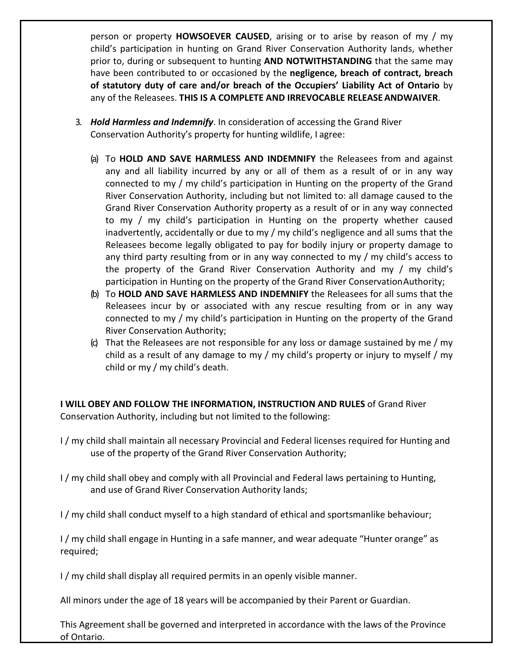person or property **HOWSOEVER CAUSED**, arising or to arise by reason of my / my child's participation in hunting on Grand River Conservation Authority lands, whether prior to, during or subsequent to hunting **AND NOTWITHSTANDING** that the same may have been contributed to or occasioned by the **negligence, breach of contract, breach of statutory duty of care and/or breach of the Occupiers' Liability Act of Ontario** by any of the Releasees. **THIS IS A COMPLETE AND IRREVOCABLE RELEASE ANDWAIVER**.

- 3. *Hold Harmless and Indemnify*. In consideration of accessing the Grand River Conservation Authority's property for hunting wildlife, I agree:
	- (a) To **HOLD AND SAVE HARMLESS AND INDEMNIFY** the Releasees from and against any and all liability incurred by any or all of them as a result of or in any way connected to my / my child's participation in Hunting on the property of the Grand River Conservation Authority, including but not limited to: all damage caused to the Grand River Conservation Authority property as a result of or in any way connected to my / my child's participation in Hunting on the property whether caused inadvertently, accidentally or due to my / my child's negligence and all sums that the Releasees become legally obligated to pay for bodily injury or property damage to any third party resulting from or in any way connected to my / my child's access to the property of the Grand River Conservation Authority and my / my child's participation in Hunting on the property of the Grand River ConservationAuthority;
	- (b) To **HOLD AND SAVE HARMLESS AND INDEMNIFY** the Releasees for all sums that the Releasees incur by or associated with any rescue resulting from or in any way connected to my / my child's participation in Hunting on the property of the Grand River Conservation Authority;
	- (c) That the Releasees are not responsible for any loss or damage sustained by me / my child as a result of any damage to my / my child's property or injury to myself / my child or my / my child's death.

**I WILL OBEY AND FOLLOW THE INFORMATION, INSTRUCTION AND RULES** of Grand River Conservation Authority, including but not limited to the following:

- I / my child shall maintain all necessary Provincial and Federal licenses required for Hunting and use of the property of the Grand River Conservation Authority;
- I / my child shall obey and comply with all Provincial and Federal laws pertaining to Hunting, and use of Grand River Conservation Authority lands;

I / my child shall conduct myself to a high standard of ethical and sportsmanlike behaviour;

I / my child shall engage in Hunting in a safe manner, and wear adequate "Hunter orange" as required;

I / my child shall display all required permits in an openly visible manner.

All minors under the age of 18 years will be accompanied by their Parent or Guardian.

This Agreement shall be governed and interpreted in accordance with the laws of the Province of Ontario.